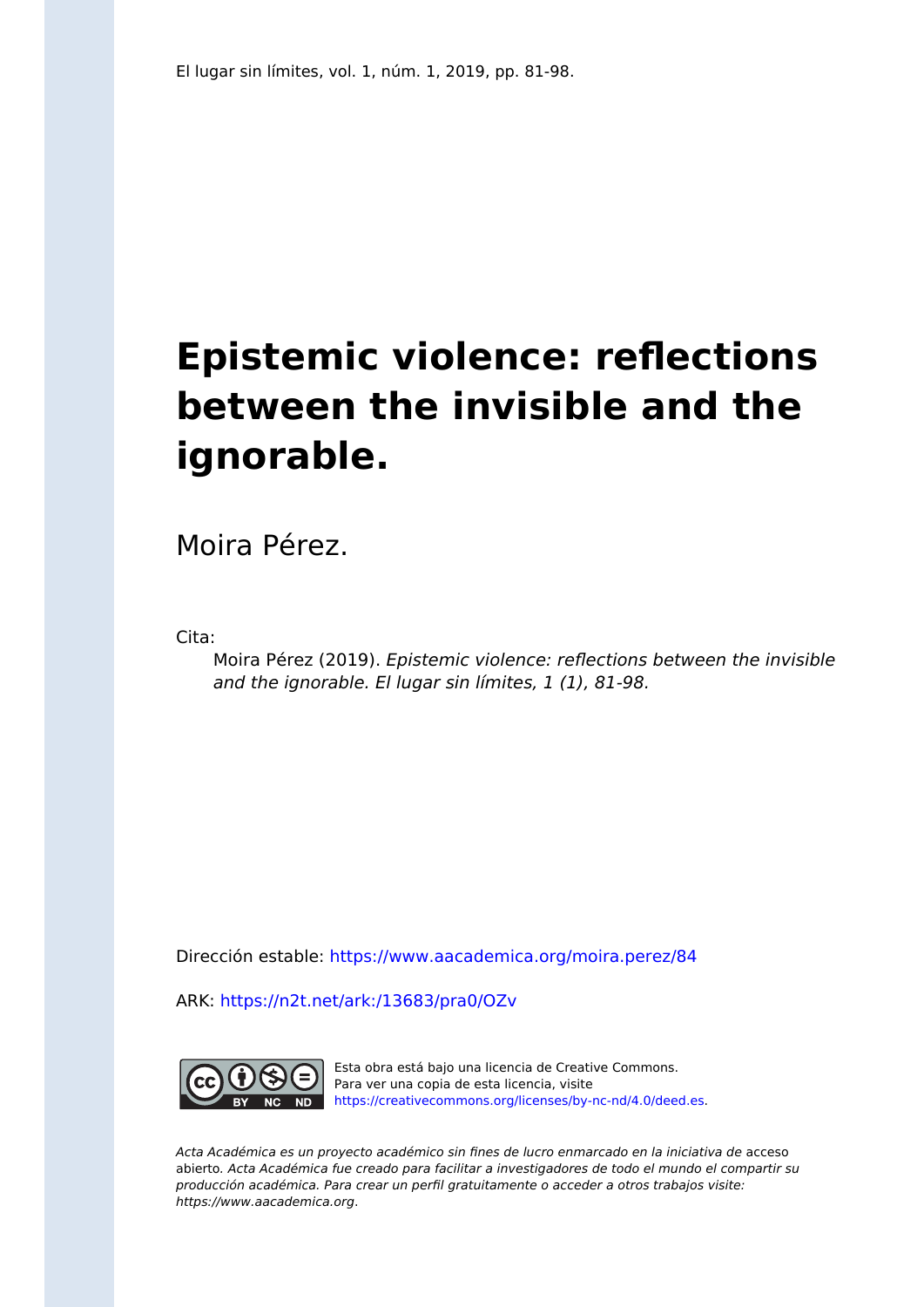# **Epistemic violence: reflections between the invisible and the ignorable.**

Moira Pérez.

Cita:

Moira Pérez (2019). Epistemic violence: reflections between the invisible and the ignorable. El lugar sin límites, 1 (1), 81-98.

Dirección estable:<https://www.aacademica.org/moira.perez/84>

ARK: <https://n2t.net/ark:/13683/pra0/OZv>



Esta obra está bajo una licencia de Creative Commons. Para ver una copia de esta licencia, visite [https://creativecommons.org/licenses/by-nc-nd/4.0/deed.es.](https://creativecommons.org/licenses/by-nc-nd/4.0/deed.es)

Acta Académica es un proyecto académico sin fines de lucro enmarcado en la iniciativa de acceso abierto. Acta Académica fue creado para facilitar a investigadores de todo el mundo el compartir su producción académica. Para crear un perfil gratuitamente o acceder a otros trabajos visite: https://www.aacademica.org.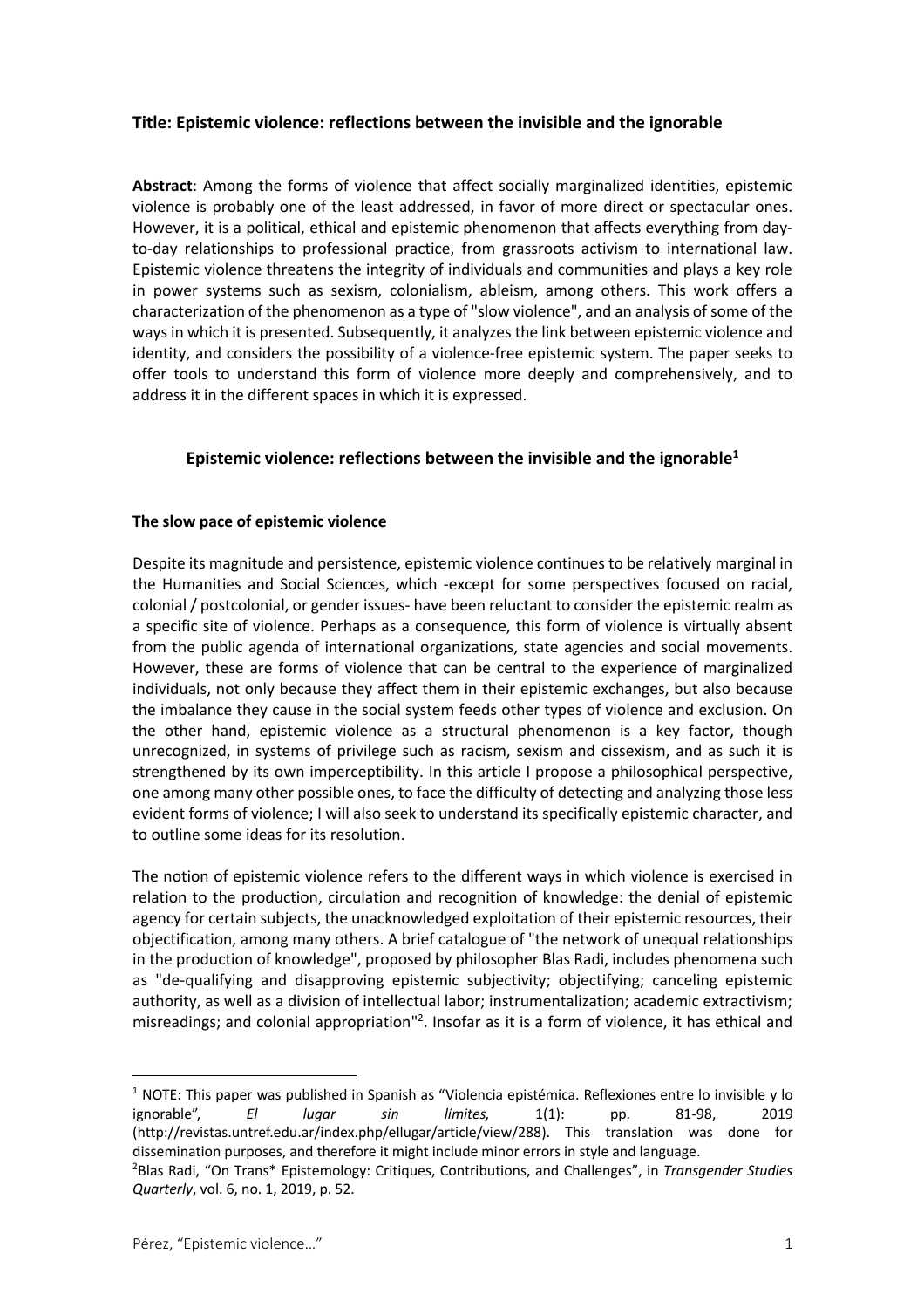#### **Title: Epistemic violence: reflections between the invisible and the ignorable**

**Abstract**: Among the forms of violence that affect socially marginalized identities, epistemic violence is probably one of the least addressed, in favor of more direct or spectacular ones. However, it is a political, ethical and epistemic phenomenon that affects everything from dayto-day relationships to professional practice, from grassroots activism to international law. Epistemic violence threatens the integrity of individuals and communities and plays a key role in power systems such as sexism, colonialism, ableism, among others. This work offers a characterization of the phenomenon as a type of "slow violence", and an analysis of some of the ways in which it is presented. Subsequently, it analyzes the link between epistemic violence and identity, and considers the possibility of a violence-free epistemic system. The paper seeks to offer tools to understand this form of violence more deeply and comprehensively, and to address it in the different spaces in which it is expressed.

## **Epistemic violence: reflections between the invisible and the ignorable1**

#### **The slow pace of epistemic violence**

Despite its magnitude and persistence, epistemic violence continues to be relatively marginal in the Humanities and Social Sciences, which -except for some perspectives focused on racial, colonial / postcolonial, or gender issues- have been reluctant to consider the epistemic realm as a specific site of violence. Perhaps as a consequence, this form of violence is virtually absent from the public agenda of international organizations, state agencies and social movements. However, these are forms of violence that can be central to the experience of marginalized individuals, not only because they affect them in their epistemic exchanges, but also because the imbalance they cause in the social system feeds other types of violence and exclusion. On the other hand, epistemic violence as a structural phenomenon is a key factor, though unrecognized, in systems of privilege such as racism, sexism and cissexism, and as such it is strengthened by its own imperceptibility. In this article I propose a philosophical perspective, one among many other possible ones, to face the difficulty of detecting and analyzing those less evident forms of violence; I will also seek to understand its specifically epistemic character, and to outline some ideas for its resolution.

The notion of epistemic violence refers to the different ways in which violence is exercised in relation to the production, circulation and recognition of knowledge: the denial of epistemic agency for certain subjects, the unacknowledged exploitation of their epistemic resources, their objectification, among many others. A brief catalogue of "the network of unequal relationships in the production of knowledge", proposed by philosopher Blas Radi, includes phenomena such as "de-qualifying and disapproving epistemic subjectivity; objectifying; canceling epistemic authority, as well as a division of intellectual labor; instrumentalization; academic extractivism; misreadings; and colonial appropriation"<sup>2</sup>. Insofar as it is a form of violence, it has ethical and

 $1$  NOTE: This paper was published in Spanish as "Violencia epistémica. Reflexiones entre lo invisible y lo ignorable", *El lugar sin límites,* 1(1): pp. 81-98, 2019 (http://revistas.untref.edu.ar/index.php/ellugar/article/view/288). This translation was done for dissemination purposes, and therefore it might include minor errors in style and language.

<sup>2</sup> Blas Radi, "On Trans\* Epistemology: Critiques, Contributions, and Challenges", in *Transgender Studies Quarterly*, vol. 6, no. 1, 2019, p. 52.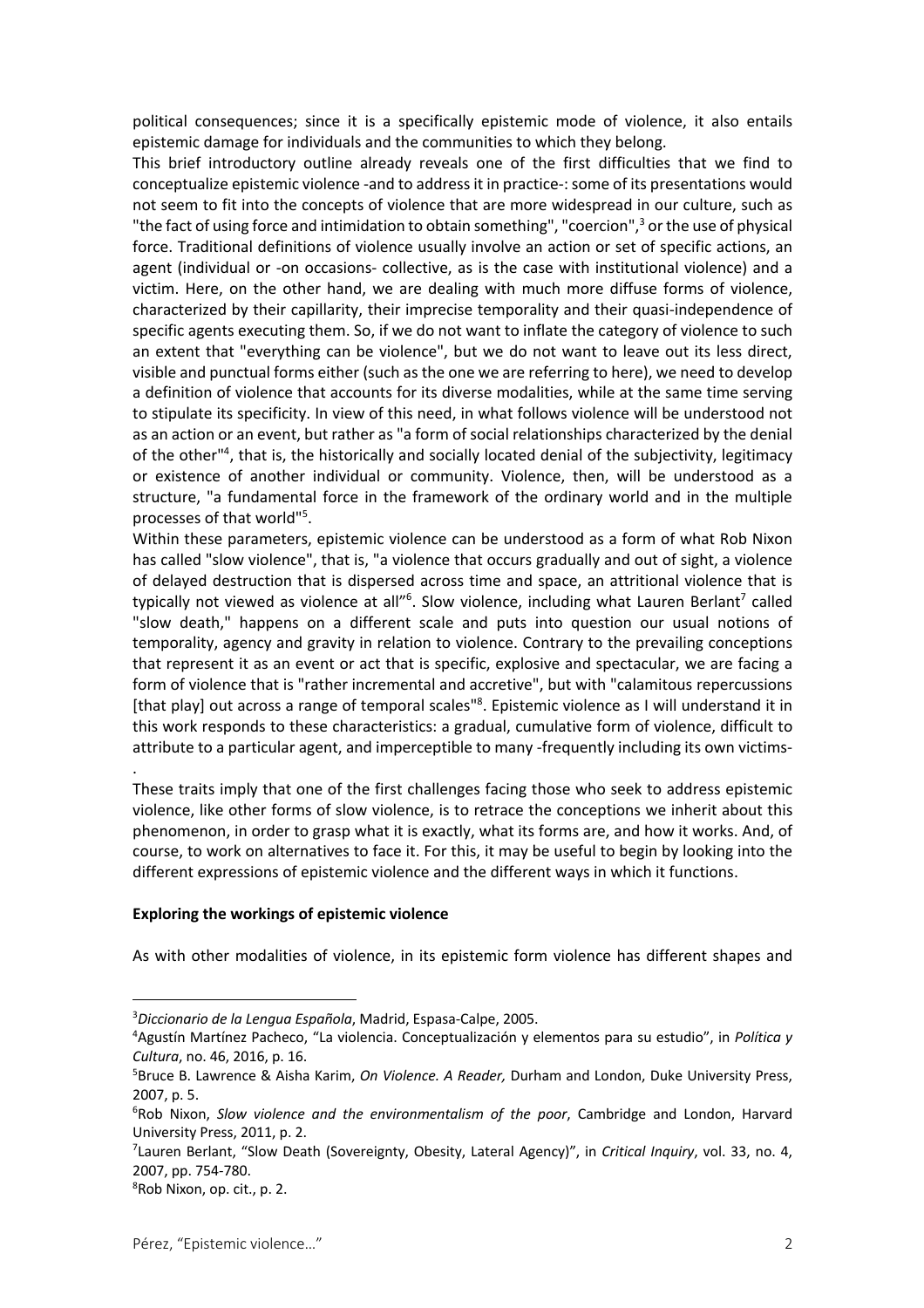political consequences; since it is a specifically epistemic mode of violence, it also entails epistemic damage for individuals and the communities to which they belong.

This brief introductory outline already reveals one of the first difficulties that we find to conceptualize epistemic violence -and to address it in practice-: some of its presentations would not seem to fit into the concepts of violence that are more widespread in our culture, such as "the fact of using force and intimidation to obtain something", "coercion",<sup>3</sup> or the use of physical force. Traditional definitions of violence usually involve an action or set of specific actions, an agent (individual or -on occasions- collective, as is the case with institutional violence) and a victim. Here, on the other hand, we are dealing with much more diffuse forms of violence, characterized by their capillarity, their imprecise temporality and their quasi-independence of specific agents executing them. So, if we do not want to inflate the category of violence to such an extent that "everything can be violence", but we do not want to leave out its less direct, visible and punctual forms either (such as the one we are referring to here), we need to develop a definition of violence that accounts for its diverse modalities, while at the same time serving to stipulate its specificity. In view of this need, in what follows violence will be understood not as an action or an event, but rather as "a form of social relationships characterized by the denial of the other<sup>14</sup>, that is, the historically and socially located denial of the subjectivity, legitimacy or existence of another individual or community. Violence, then, will be understood as a structure, "a fundamental force in the framework of the ordinary world and in the multiple processes of that world"<sup>5</sup>.

Within these parameters, epistemic violence can be understood as a form of what Rob Nixon has called "slow violence", that is, "a violence that occurs gradually and out of sight, a violence of delayed destruction that is dispersed across time and space, an attritional violence that is typically not viewed as violence at all"<sup>6</sup>. Slow violence, including what Lauren Berlant<sup>7</sup> called "slow death," happens on a different scale and puts into question our usual notions of temporality, agency and gravity in relation to violence. Contrary to the prevailing conceptions that represent it as an event or act that is specific, explosive and spectacular, we are facing a form of violence that is "rather incremental and accretive", but with "calamitous repercussions [that play] out across a range of temporal scales<sup>18</sup>. Epistemic violence as I will understand it in this work responds to these characteristics: a gradual, cumulative form of violence, difficult to attribute to a particular agent, and imperceptible to many -frequently including its own victims-

These traits imply that one of the first challenges facing those who seek to address epistemic violence, like other forms of slow violence, is to retrace the conceptions we inherit about this phenomenon, in order to grasp what it is exactly, what its forms are, and how it works. And, of course, to work on alternatives to face it. For this, it may be useful to begin by looking into the different expressions of epistemic violence and the different ways in which it functions.

#### **Exploring the workings of epistemic violence**

As with other modalities of violence, in its epistemic form violence has different shapes and

.

<sup>3</sup> *Diccionario de la Lengua Española*, Madrid, Espasa-Calpe, 2005.

<sup>4</sup> Agustín Martínez Pacheco, "La violencia. Conceptualización y elementos para su estudio", in *Política y Cultura*, no. 46, 2016, p. 16.

<sup>5</sup> Bruce B. Lawrence & Aisha Karim, *On Violence. A Reader,* Durham and London, Duke University Press, 2007, p. 5.

<sup>6</sup> Rob Nixon, *Slow violence and the environmentalism of the poor*, Cambridge and London, Harvard University Press, 2011, p. 2.

<sup>7</sup> Lauren Berlant, "Slow Death (Sovereignty, Obesity, Lateral Agency)", in *Critical Inquiry*, vol. 33, no. 4, 2007, pp. 754-780.

<sup>8</sup> Rob Nixon, op. cit., p. 2.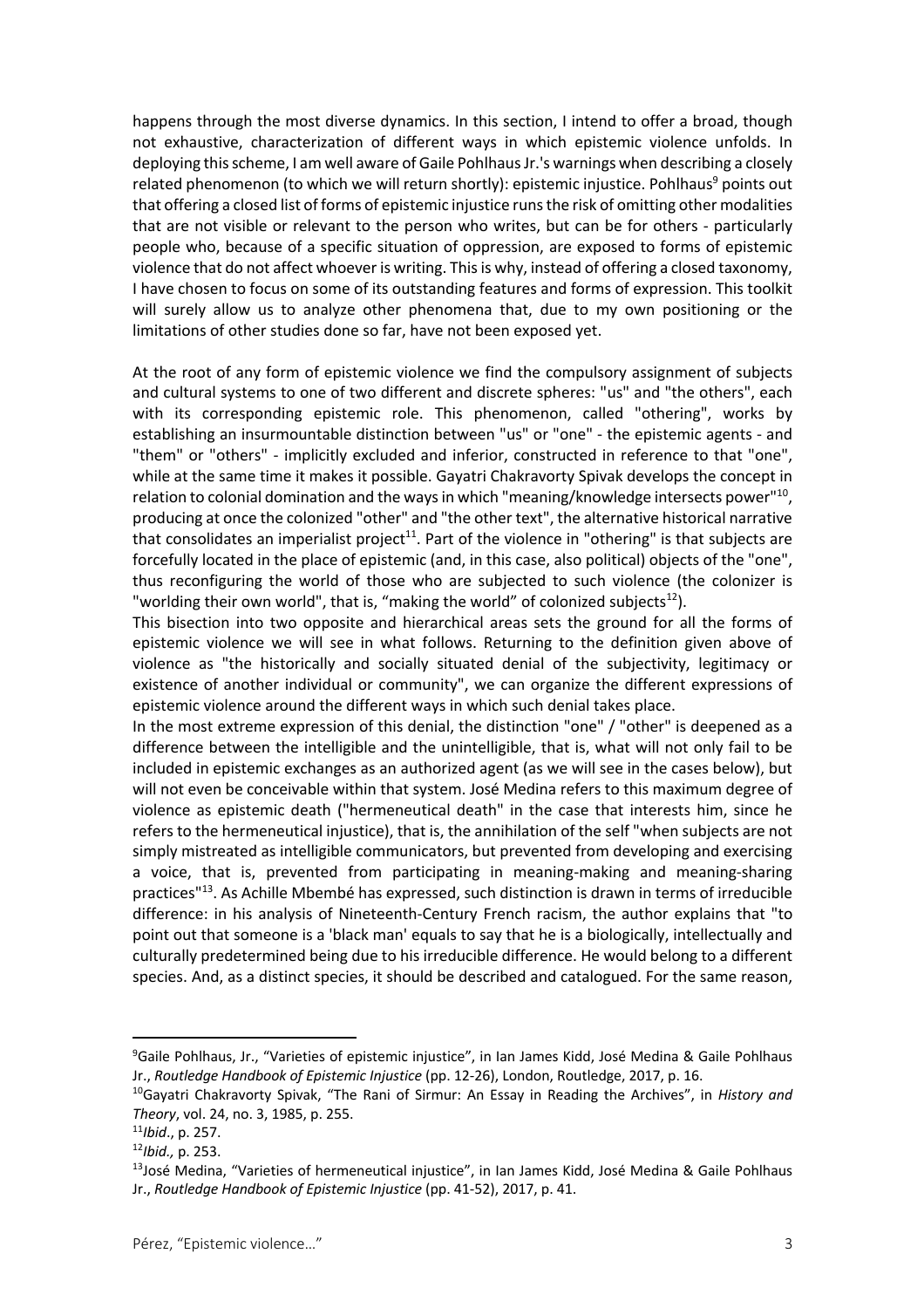happens through the most diverse dynamics. In this section, I intend to offer a broad, though not exhaustive, characterization of different ways in which epistemic violence unfolds. In deploying this scheme, I am well aware of Gaile Pohlhaus Jr.'s warnings when describing a closely related phenomenon (to which we will return shortly): epistemic injustice. Pohlhaus<sup>9</sup> points out that offering a closed list of forms of epistemic injustice runs the risk of omitting other modalities that are not visible or relevant to the person who writes, but can be for others - particularly people who, because of a specific situation of oppression, are exposed to forms of epistemic violence that do not affect whoever is writing. This is why, instead of offering a closed taxonomy, I have chosen to focus on some of its outstanding features and forms of expression. This toolkit will surely allow us to analyze other phenomena that, due to my own positioning or the limitations of other studies done so far, have not been exposed yet.

At the root of any form of epistemic violence we find the compulsory assignment of subjects and cultural systems to one of two different and discrete spheres: "us" and "the others", each with its corresponding epistemic role. This phenomenon, called "othering", works by establishing an insurmountable distinction between "us" or "one" - the epistemic agents - and "them" or "others" - implicitly excluded and inferior, constructed in reference to that "one", while at the same time it makes it possible. Gayatri Chakravorty Spivak develops the concept in relation to colonial domination and the ways in which "meaning/knowledge intersects power"<sup>10</sup>. producing at once the colonized "other" and "the other text", the alternative historical narrative that consolidates an imperialist project<sup>11</sup>. Part of the violence in "othering" is that subjects are forcefully located in the place of epistemic (and, in this case, also political) objects of the "one", thus reconfiguring the world of those who are subjected to such violence (the colonizer is "worlding their own world", that is, "making the world" of colonized subjects $^{12}$ ).

This bisection into two opposite and hierarchical areas sets the ground for all the forms of epistemic violence we will see in what follows. Returning to the definition given above of violence as "the historically and socially situated denial of the subjectivity, legitimacy or existence of another individual or community", we can organize the different expressions of epistemic violence around the different ways in which such denial takes place.

In the most extreme expression of this denial, the distinction "one" / "other" is deepened as a difference between the intelligible and the unintelligible, that is, what will not only fail to be included in epistemic exchanges as an authorized agent (as we will see in the cases below), but will not even be conceivable within that system. José Medina refers to this maximum degree of violence as epistemic death ("hermeneutical death" in the case that interests him, since he refers to the hermeneutical injustice), that is, the annihilation of the self "when subjects are not simply mistreated as intelligible communicators, but prevented from developing and exercising a voice, that is, prevented from participating in meaning-making and meaning-sharing practices"13. As Achille Mbembé has expressed, such distinction is drawn in terms of irreducible difference: in his analysis of Nineteenth-Century French racism, the author explains that "to point out that someone is a 'black man' equals to say that he is a biologically, intellectually and culturally predetermined being due to his irreducible difference. He would belong to a different species. And, as a distinct species, it should be described and catalogued. For the same reason,

<sup>9</sup> Gaile Pohlhaus, Jr., "Varieties of epistemic injustice", in Ian James Kidd, José Medina & Gaile Pohlhaus Jr., *Routledge Handbook of Epistemic Injustice* (pp. 12-26), London, Routledge, 2017, p. 16.

<sup>10</sup>Gayatri Chakravorty Spivak, "The Rani of Sirmur: An Essay in Reading the Archives", in *History and Theory*, vol. 24, no. 3, 1985, p. 255.

<sup>11</sup>*Ibid*., p. 257.

<sup>12</sup>*Ibid.,* p. 253.

 $13$ José Medina, "Varieties of hermeneutical injustice", in Ian James Kidd, José Medina & Gaile Pohlhaus Jr., *Routledge Handbook of Epistemic Injustice* (pp. 41-52), 2017, p. 41.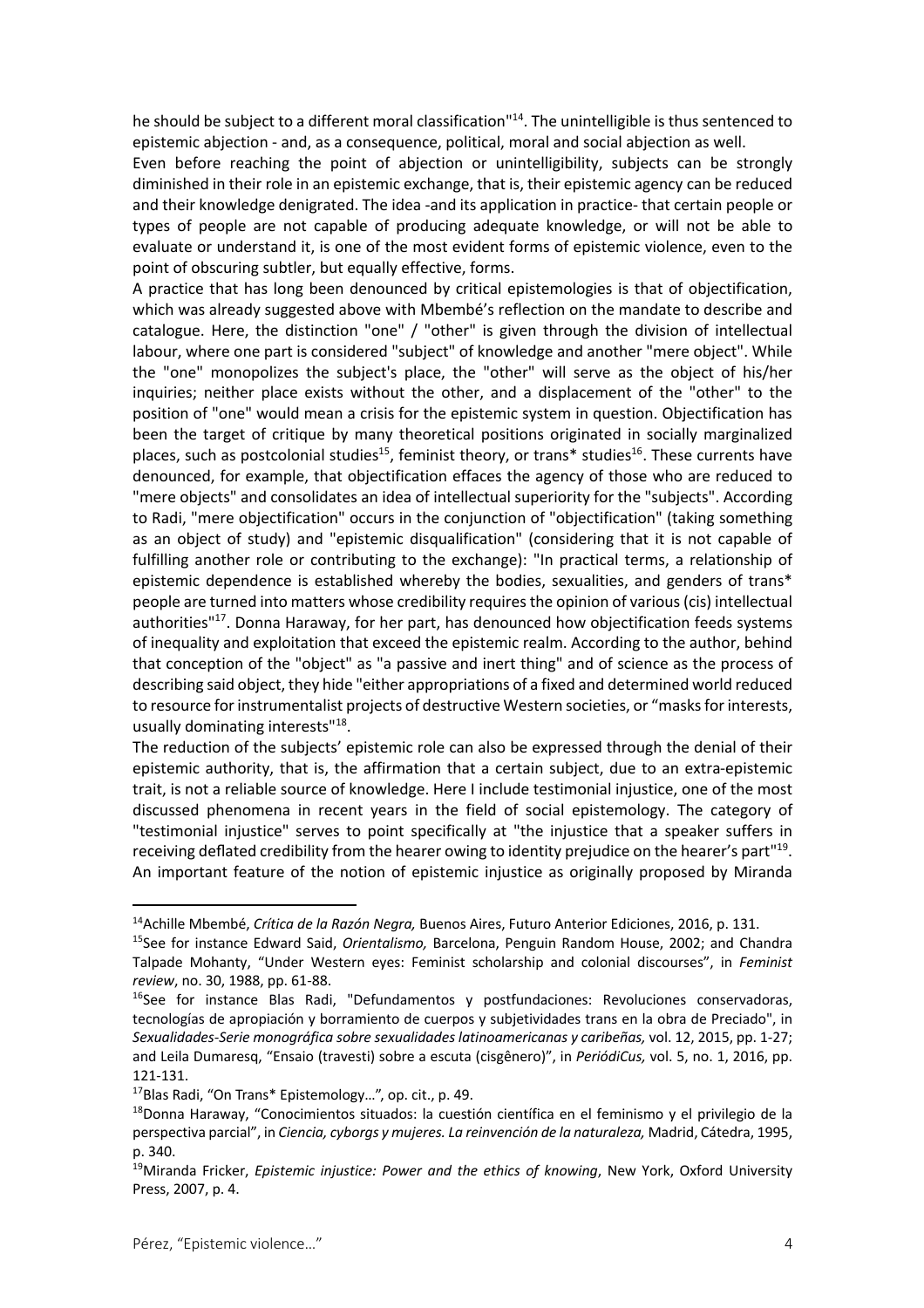he should be subject to a different moral classification"<sup>14</sup>. The unintelligible is thus sentenced to epistemic abjection - and, as a consequence, political, moral and social abjection as well.

Even before reaching the point of abjection or unintelligibility, subjects can be strongly diminished in their role in an epistemic exchange, that is, their epistemic agency can be reduced and their knowledge denigrated. The idea -and its application in practice- that certain people or types of people are not capable of producing adequate knowledge, or will not be able to evaluate or understand it, is one of the most evident forms of epistemic violence, even to the point of obscuring subtler, but equally effective, forms.

A practice that has long been denounced by critical epistemologies is that of objectification, which was already suggested above with Mbembé's reflection on the mandate to describe and catalogue. Here, the distinction "one" / "other" is given through the division of intellectual labour, where one part is considered "subject" of knowledge and another "mere object". While the "one" monopolizes the subject's place, the "other" will serve as the object of his/her inquiries; neither place exists without the other, and a displacement of the "other" to the position of "one" would mean a crisis for the epistemic system in question. Objectification has been the target of critique by many theoretical positions originated in socially marginalized places, such as postcolonial studies<sup>15</sup>, feminist theory, or trans\* studies<sup>16</sup>. These currents have denounced, for example, that objectification effaces the agency of those who are reduced to "mere objects" and consolidates an idea of intellectual superiority for the "subjects". According to Radi, "mere objectification" occurs in the conjunction of "objectification" (taking something as an object of study) and "epistemic disqualification" (considering that it is not capable of fulfilling another role or contributing to the exchange): "In practical terms, a relationship of epistemic dependence is established whereby the bodies, sexualities, and genders of trans\* people are turned into matters whose credibility requires the opinion of various (cis) intellectual authorities"17. Donna Haraway, for her part, has denounced how objectification feeds systems of inequality and exploitation that exceed the epistemic realm. According to the author, behind that conception of the "object" as "a passive and inert thing" and of science as the process of describing said object, they hide "either appropriations of a fixed and determined world reduced to resource for instrumentalist projects of destructive Western societies, or "masks for interests, usually dominating interests"18.

The reduction of the subjects' epistemic role can also be expressed through the denial of their epistemic authority, that is, the affirmation that a certain subject, due to an extra-epistemic trait, is not a reliable source of knowledge. Here I include testimonial injustice, one of the most discussed phenomena in recent years in the field of social epistemology. The category of "testimonial injustice" serves to point specifically at "the injustice that a speaker suffers in receiving deflated credibility from the hearer owing to identity prejudice on the hearer's part"<sup>19</sup>. An important feature of the notion of epistemic injustice as originally proposed by Miranda

<sup>14</sup>Achille Mbembé, *Crítica de la Razón Negra,* Buenos Aires, Futuro Anterior Ediciones, 2016, p. 131.

<sup>15</sup>See for instance Edward Said, *Orientalismo,* Barcelona, Penguin Random House, 2002; and Chandra Talpade Mohanty, "Under Western eyes: Feminist scholarship and colonial discourses", in *Feminist review*, no. 30, 1988, pp. 61-88.

 $16$ See for instance Blas Radi, "Defundamentos y postfundaciones: Revoluciones conservadoras, tecnologías de apropiación y borramiento de cuerpos y subjetividades trans en la obra de Preciado", in *Sexualidades-Serie monográfica sobre sexualidades latinoamericanas y caribeñas,* vol. 12, 2015, pp. 1-27; and Leila Dumaresq, "Ensaio (travesti) sobre a escuta (cisgênero)", in *PeriódiCus,* vol. 5, no. 1, 2016, pp. 121-131.

<sup>17</sup>Blas Radi, "On Trans\* Epistemology…", op. cit., p. 49.

<sup>18</sup>Donna Haraway, "Conocimientos situados: la cuestión científica en el feminismo y el privilegio de la perspectiva parcial", in *Ciencia, cyborgs y mujeres. La reinvención de la naturaleza,* Madrid, Cátedra, 1995, p. 340.

<sup>19</sup>Miranda Fricker, *Epistemic injustice: Power and the ethics of knowing*, New York, Oxford University Press, 2007, p. 4.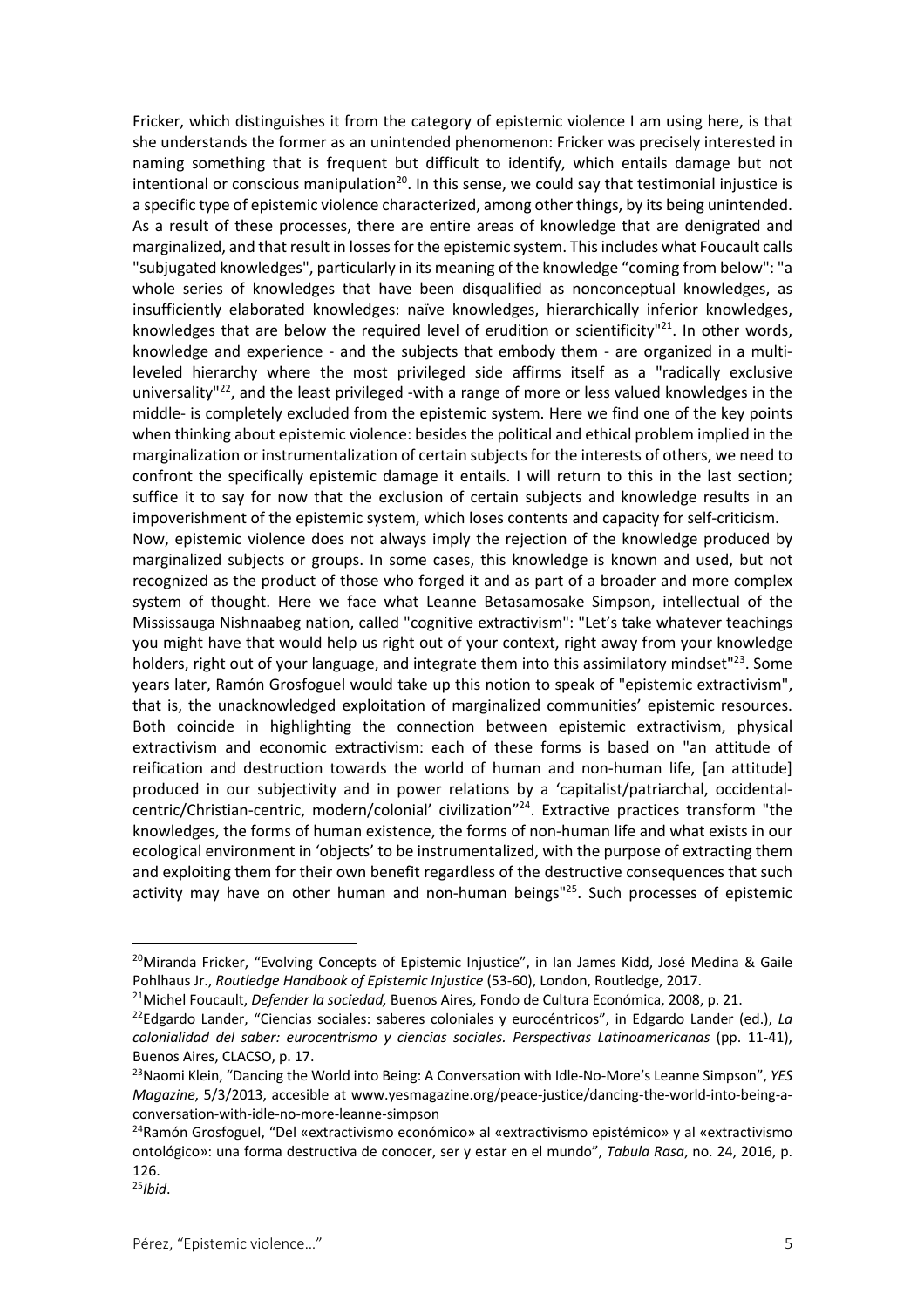Fricker, which distinguishes it from the category of epistemic violence I am using here, is that she understands the former as an unintended phenomenon: Fricker was precisely interested in naming something that is frequent but difficult to identify, which entails damage but not intentional or conscious manipulation<sup>20</sup>. In this sense, we could say that testimonial injustice is a specific type of epistemic violence characterized, among other things, by its being unintended. As a result of these processes, there are entire areas of knowledge that are denigrated and marginalized, and that result in losses for the epistemic system. This includes what Foucault calls "subjugated knowledges", particularly in its meaning of the knowledge "coming from below": "a whole series of knowledges that have been disqualified as nonconceptual knowledges, as insufficiently elaborated knowledges: naïve knowledges, hierarchically inferior knowledges, knowledges that are below the required level of erudition or scientificity<sup>121</sup>. In other words, knowledge and experience - and the subjects that embody them - are organized in a multileveled hierarchy where the most privileged side affirms itself as a "radically exclusive universality"<sup>22</sup>, and the least privileged -with a range of more or less valued knowledges in the middle- is completely excluded from the epistemic system. Here we find one of the key points when thinking about epistemic violence: besides the political and ethical problem implied in the marginalization or instrumentalization of certain subjects for the interests of others, we need to confront the specifically epistemic damage it entails. I will return to this in the last section; suffice it to say for now that the exclusion of certain subjects and knowledge results in an impoverishment of the epistemic system, which loses contents and capacity for self-criticism. Now, epistemic violence does not always imply the rejection of the knowledge produced by marginalized subjects or groups. In some cases, this knowledge is known and used, but not recognized as the product of those who forged it and as part of a broader and more complex system of thought. Here we face what Leanne Betasamosake Simpson, intellectual of the Mississauga Nishnaabeg nation, called "cognitive extractivism": "Let's take whatever teachings you might have that would help us right out of your context, right away from your knowledge holders, right out of your language, and integrate them into this assimilatory mindset" $^{23}$ . Some years later, Ramón Grosfoguel would take up this notion to speak of "epistemic extractivism", that is, the unacknowledged exploitation of marginalized communities' epistemic resources. Both coincide in highlighting the connection between epistemic extractivism, physical extractivism and economic extractivism: each of these forms is based on "an attitude of reification and destruction towards the world of human and non-human life, [an attitude] produced in our subjectivity and in power relations by a 'capitalist/patriarchal, occidentalcentric/Christian-centric, modern/colonial' civilization"24. Extractive practices transform "the knowledges, the forms of human existence, the forms of non-human life and what exists in our ecological environment in 'objects' to be instrumentalized, with the purpose of extracting them and exploiting them for their own benefit regardless of the destructive consequences that such activity may have on other human and non-human beings<sup>"25</sup>. Such processes of epistemic

<sup>&</sup>lt;sup>20</sup>Miranda Fricker, "Evolving Concepts of Epistemic Iniustice", in Ian James Kidd, José Medina & Gaile Pohlhaus Jr., *Routledge Handbook of Epistemic Injustice* (53-60), London, Routledge, 2017.

<sup>21</sup>Michel Foucault, *Defender la sociedad,* Buenos Aires, Fondo de Cultura Económica, 2008, p. 21.

<sup>22</sup>Edgardo Lander, "Ciencias sociales: saberes coloniales y eurocéntricos", in Edgardo Lander (ed.), *La colonialidad del saber: eurocentrismo y ciencias sociales. Perspectivas Latinoamericanas* (pp. 11-41), Buenos Aires, CLACSO, p. 17.

<sup>23</sup>Naomi Klein, "Dancing the World into Being: A Conversation with Idle-No-More's Leanne Simpson", *YES Magazine*, 5/3/2013, accesible at www.yesmagazine.org/peace-justice/dancing-the-world-into-being-aconversation-with-idle-no-more-leanne-simpson

<sup>24</sup>Ramón Grosfoguel, "Del «extractivismo económico» al «extractivismo epistémico» y al «extractivismo ontológico»: una forma destructiva de conocer, ser y estar en el mundo", *Tabula Rasa*, no. 24, 2016, p. 126.

<sup>25</sup>*Ibid*.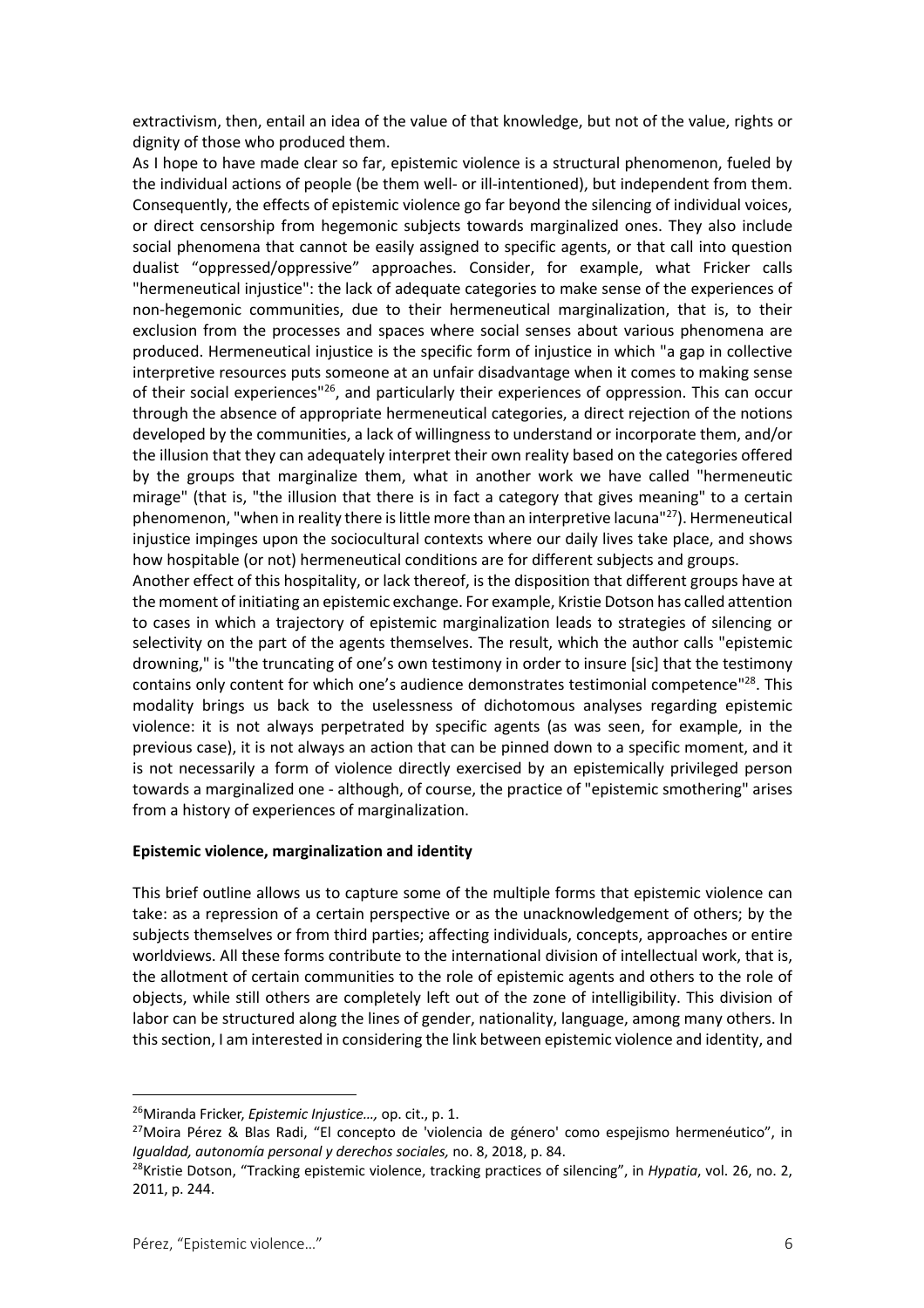extractivism, then, entail an idea of the value of that knowledge, but not of the value, rights or dignity of those who produced them.

As I hope to have made clear so far, epistemic violence is a structural phenomenon, fueled by the individual actions of people (be them well- or ill-intentioned), but independent from them. Consequently, the effects of epistemic violence go far beyond the silencing of individual voices, or direct censorship from hegemonic subjects towards marginalized ones. They also include social phenomena that cannot be easily assigned to specific agents, or that call into question dualist "oppressed/oppressive" approaches. Consider, for example, what Fricker calls "hermeneutical injustice": the lack of adequate categories to make sense of the experiences of non-hegemonic communities, due to their hermeneutical marginalization, that is, to their exclusion from the processes and spaces where social senses about various phenomena are produced. Hermeneutical injustice is the specific form of injustice in which "a gap in collective interpretive resources puts someone at an unfair disadvantage when it comes to making sense of their social experiences"<sup>26</sup>, and particularly their experiences of oppression. This can occur through the absence of appropriate hermeneutical categories, a direct rejection of the notions developed by the communities, a lack of willingness to understand or incorporate them, and/or the illusion that they can adequately interpret their own reality based on the categories offered by the groups that marginalize them, what in another work we have called "hermeneutic mirage" (that is, "the illusion that there is in fact a category that gives meaning" to a certain phenomenon, "when in reality there is little more than an interpretive lacuna"<sup>27</sup>). Hermeneutical injustice impinges upon the sociocultural contexts where our daily lives take place, and shows how hospitable (or not) hermeneutical conditions are for different subjects and groups.

Another effect of this hospitality, or lack thereof, is the disposition that different groups have at the moment of initiating an epistemic exchange. For example, Kristie Dotson has called attention to cases in which a trajectory of epistemic marginalization leads to strategies of silencing or selectivity on the part of the agents themselves. The result, which the author calls "epistemic drowning," is "the truncating of one's own testimony in order to insure [sic] that the testimony contains only content for which one's audience demonstrates testimonial competence<sup>"28</sup>. This modality brings us back to the uselessness of dichotomous analyses regarding epistemic violence: it is not always perpetrated by specific agents (as was seen, for example, in the previous case), it is not always an action that can be pinned down to a specific moment, and it is not necessarily a form of violence directly exercised by an epistemically privileged person towards a marginalized one - although, of course, the practice of "epistemic smothering" arises from a history of experiences of marginalization.

#### **Epistemic violence, marginalization and identity**

This brief outline allows us to capture some of the multiple forms that epistemic violence can take: as a repression of a certain perspective or as the unacknowledgement of others; by the subjects themselves or from third parties; affecting individuals, concepts, approaches or entire worldviews. All these forms contribute to the international division of intellectual work, that is, the allotment of certain communities to the role of epistemic agents and others to the role of objects, while still others are completely left out of the zone of intelligibility. This division of labor can be structured along the lines of gender, nationality, language, among many others. In this section, I am interested in considering the link between epistemic violence and identity, and

<sup>26</sup>Miranda Fricker, *Epistemic Injustice…,* op. cit., p. 1.

<sup>&</sup>lt;sup>27</sup>Moira Pérez & Blas Radi, "El concepto de 'violencia de género' como espejismo hermenéutico", in *Igualdad, autonomía personal y derechos sociales,* no. 8, 2018, p. 84.

<sup>28</sup>Kristie Dotson, "Tracking epistemic violence, tracking practices of silencing", in *Hypatia*, vol. 26, no. 2, 2011, p. 244.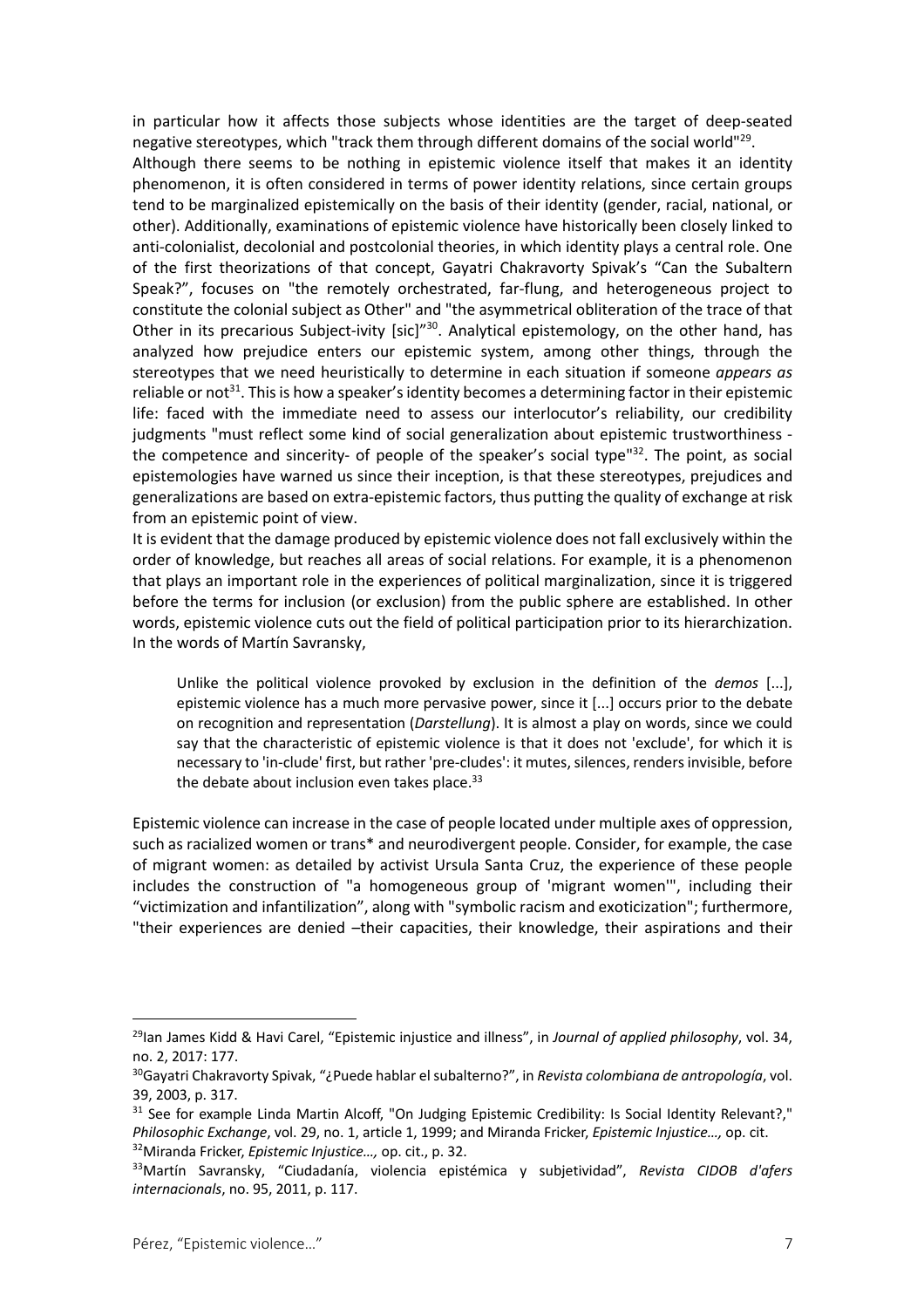in particular how it affects those subjects whose identities are the target of deep-seated negative stereotypes, which "track them through different domains of the social world"<sup>29</sup>. Although there seems to be nothing in epistemic violence itself that makes it an identity phenomenon, it is often considered in terms of power identity relations, since certain groups tend to be marginalized epistemically on the basis of their identity (gender, racial, national, or other). Additionally, examinations of epistemic violence have historically been closely linked to anti-colonialist, decolonial and postcolonial theories, in which identity plays a central role. One of the first theorizations of that concept, Gayatri Chakravorty Spivak's "Can the Subaltern Speak?", focuses on "the remotely orchestrated, far-flung, and heterogeneous project to constitute the colonial subject as Other" and "the asymmetrical obliteration of the trace of that Other in its precarious Subject-ivity [sic]"<sup>30</sup>. Analytical epistemology, on the other hand, has analyzed how prejudice enters our epistemic system, among other things, through the stereotypes that we need heuristically to determine in each situation if someone *appears as* reliable or not<sup>31</sup>. This is how a speaker's identity becomes a determining factor in their epistemic life: faced with the immediate need to assess our interlocutor's reliability, our credibility judgments "must reflect some kind of social generalization about epistemic trustworthiness the competence and sincerity- of people of the speaker's social type"<sup>32</sup>. The point, as social epistemologies have warned us since their inception, is that these stereotypes, prejudices and generalizations are based on extra-epistemic factors, thus putting the quality of exchange at risk from an epistemic point of view.

It is evident that the damage produced by epistemic violence does not fall exclusively within the order of knowledge, but reaches all areas of social relations. For example, it is a phenomenon that plays an important role in the experiences of political marginalization, since it is triggered before the terms for inclusion (or exclusion) from the public sphere are established. In other words, epistemic violence cuts out the field of political participation prior to its hierarchization. In the words of Martín Savransky,

Unlike the political violence provoked by exclusion in the definition of the *demos* [...], epistemic violence has a much more pervasive power, since it [...] occurs prior to the debate on recognition and representation (*Darstellung*). It is almost a play on words, since we could say that the characteristic of epistemic violence is that it does not 'exclude', for which it is necessary to 'in-clude' first, but rather 'pre-cludes': it mutes, silences, renders invisible, before the debate about inclusion even takes place.<sup>33</sup>

Epistemic violence can increase in the case of people located under multiple axes of oppression, such as racialized women or trans\* and neurodivergent people. Consider, for example, the case of migrant women: as detailed by activist Ursula Santa Cruz, the experience of these people includes the construction of "a homogeneous group of 'migrant women'", including their "victimization and infantilization", along with "symbolic racism and exoticization"; furthermore, "their experiences are denied –their capacities, their knowledge, their aspirations and their

<sup>29</sup>Ian James Kidd & Havi Carel, "Epistemic injustice and illness", in *Journal of applied philosophy*, vol. 34, no. 2, 2017: 177.

<sup>30</sup>Gayatri Chakravorty Spivak, "¿Puede hablar el subalterno?", in *Revista colombiana de antropología*, vol. 39, 2003, p. 317.

<sup>&</sup>lt;sup>31</sup> See for example Linda Martin Alcoff, "On Judging Epistemic Credibility: Is Social Identity Relevant?," *Philosophic Exchange*, vol. 29, no. 1, article 1, 1999; and Miranda Fricker, *Epistemic Injustice…,* op. cit. 32Miranda Fricker, *Epistemic Injustice…,* op. cit., p. 32.

<sup>33</sup>Martín Savransky, "Ciudadanía, violencia epistémica y subjetividad", *Revista CIDOB d'afers internacionals*, no. 95, 2011, p. 117.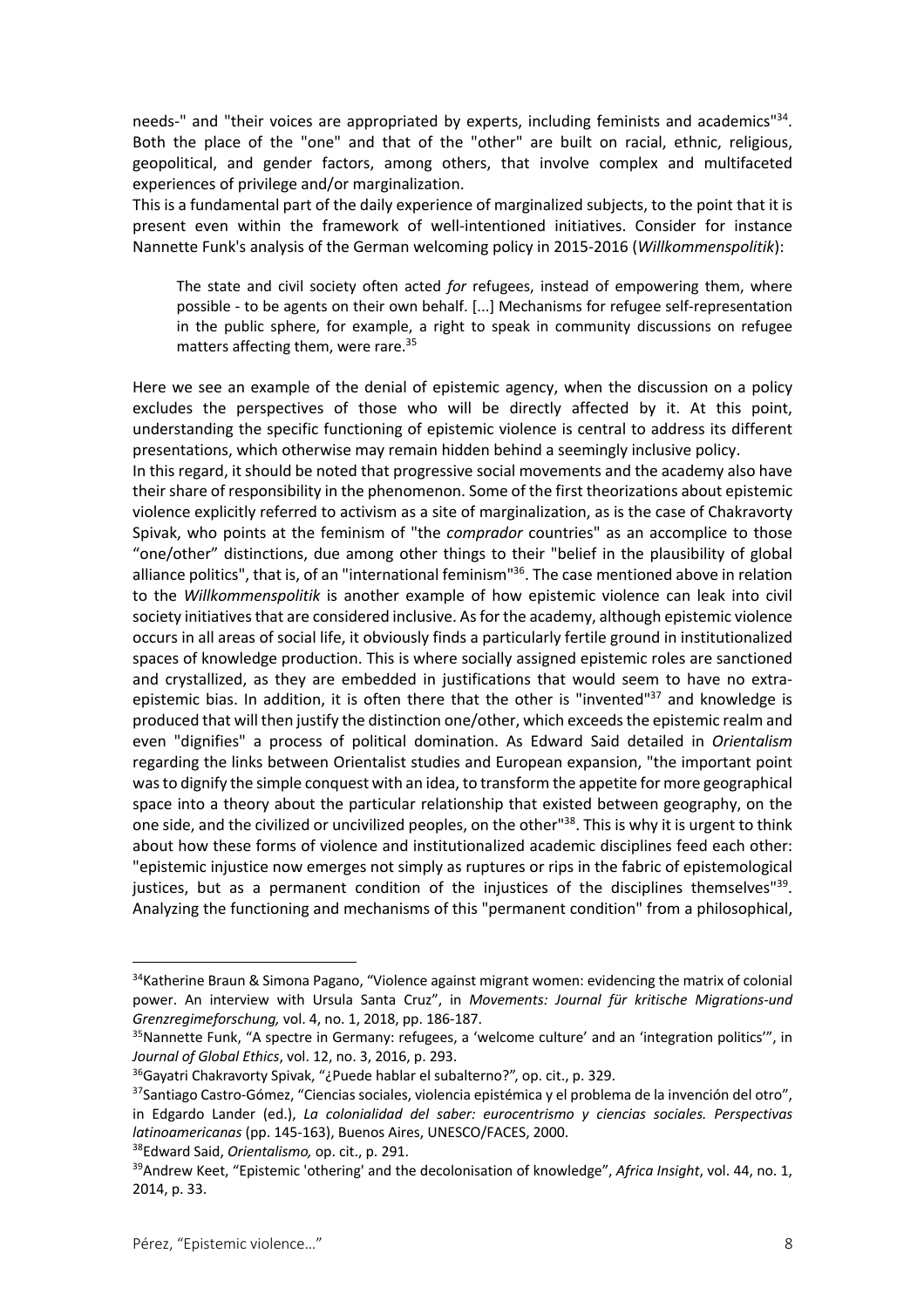needs-" and "their voices are appropriated by experts, including feminists and academics"<sup>34</sup>. Both the place of the "one" and that of the "other" are built on racial, ethnic, religious, geopolitical, and gender factors, among others, that involve complex and multifaceted experiences of privilege and/or marginalization.

This is a fundamental part of the daily experience of marginalized subjects, to the point that it is present even within the framework of well-intentioned initiatives. Consider for instance Nannette Funk's analysis of the German welcoming policy in 2015-2016 (*Willkommenspolitik*):

The state and civil society often acted *for* refugees, instead of empowering them, where possible - to be agents on their own behalf. [...] Mechanisms for refugee self-representation in the public sphere, for example, a right to speak in community discussions on refugee matters affecting them, were rare.<sup>35</sup>

Here we see an example of the denial of epistemic agency, when the discussion on a policy excludes the perspectives of those who will be directly affected by it. At this point, understanding the specific functioning of epistemic violence is central to address its different presentations, which otherwise may remain hidden behind a seemingly inclusive policy.

In this regard, it should be noted that progressive social movements and the academy also have their share of responsibility in the phenomenon. Some of the first theorizations about epistemic violence explicitly referred to activism as a site of marginalization, as is the case of Chakravorty Spivak, who points at the feminism of "the *comprador* countries" as an accomplice to those "one/other" distinctions, due among other things to their "belief in the plausibility of global alliance politics", that is, of an "international feminism"<sup>36</sup>. The case mentioned above in relation to the *Willkommenspolitik* is another example of how epistemic violence can leak into civil society initiatives that are considered inclusive. As for the academy, although epistemic violence occurs in all areas of social life, it obviously finds a particularly fertile ground in institutionalized spaces of knowledge production. This is where socially assigned epistemic roles are sanctioned and crystallized, as they are embedded in justifications that would seem to have no extraepistemic bias. In addition, it is often there that the other is "invented"<sup>37</sup> and knowledge is produced that will then justify the distinction one/other, which exceeds the epistemic realm and even "dignifies" a process of political domination. As Edward Said detailed in *Orientalism* regarding the links between Orientalist studies and European expansion, "the important point was to dignify the simple conquest with an idea, to transform the appetite for more geographical space into a theory about the particular relationship that existed between geography, on the one side, and the civilized or uncivilized peoples, on the other<sup>138</sup>. This is why it is urgent to think about how these forms of violence and institutionalized academic disciplines feed each other: "epistemic injustice now emerges not simply as ruptures or rips in the fabric of epistemological justices, but as a permanent condition of the injustices of the disciplines themselves" $39$ . Analyzing the functioning and mechanisms of this "permanent condition" from a philosophical,

<sup>&</sup>lt;sup>34</sup>Katherine Braun & Simona Pagano, "Violence against migrant women: evidencing the matrix of colonial power. An interview with Ursula Santa Cruz", in *Movements: Journal für kritische Migrations-und Grenzregimeforschung,* vol. 4, no. 1, 2018, pp. 186-187.

<sup>&</sup>lt;sup>35</sup>Nannette Funk, "A spectre in Germany: refugees, a 'welcome culture' and an 'integration politics'", in *Journal of Global Ethics*, vol. 12, no. 3, 2016, p. 293.

<sup>36</sup>Gayatri Chakravorty Spivak, "¿Puede hablar el subalterno?", op. cit., p. 329.

 $37$ Santiago Castro-Gómez, "Ciencias sociales, violencia epistémica y el problema de la invención del otro", in Edgardo Lander (ed.), *La colonialidad del saber: eurocentrismo y ciencias sociales. Perspectivas latinoamericanas* (pp. 145-163), Buenos Aires, UNESCO/FACES, 2000.

<sup>38</sup>Edward Said, *Orientalismo,* op. cit., p. 291.

<sup>39</sup>Andrew Keet, "Epistemic 'othering' and the decolonisation of knowledge", *Africa Insight*, vol. 44, no. 1, 2014, p. 33.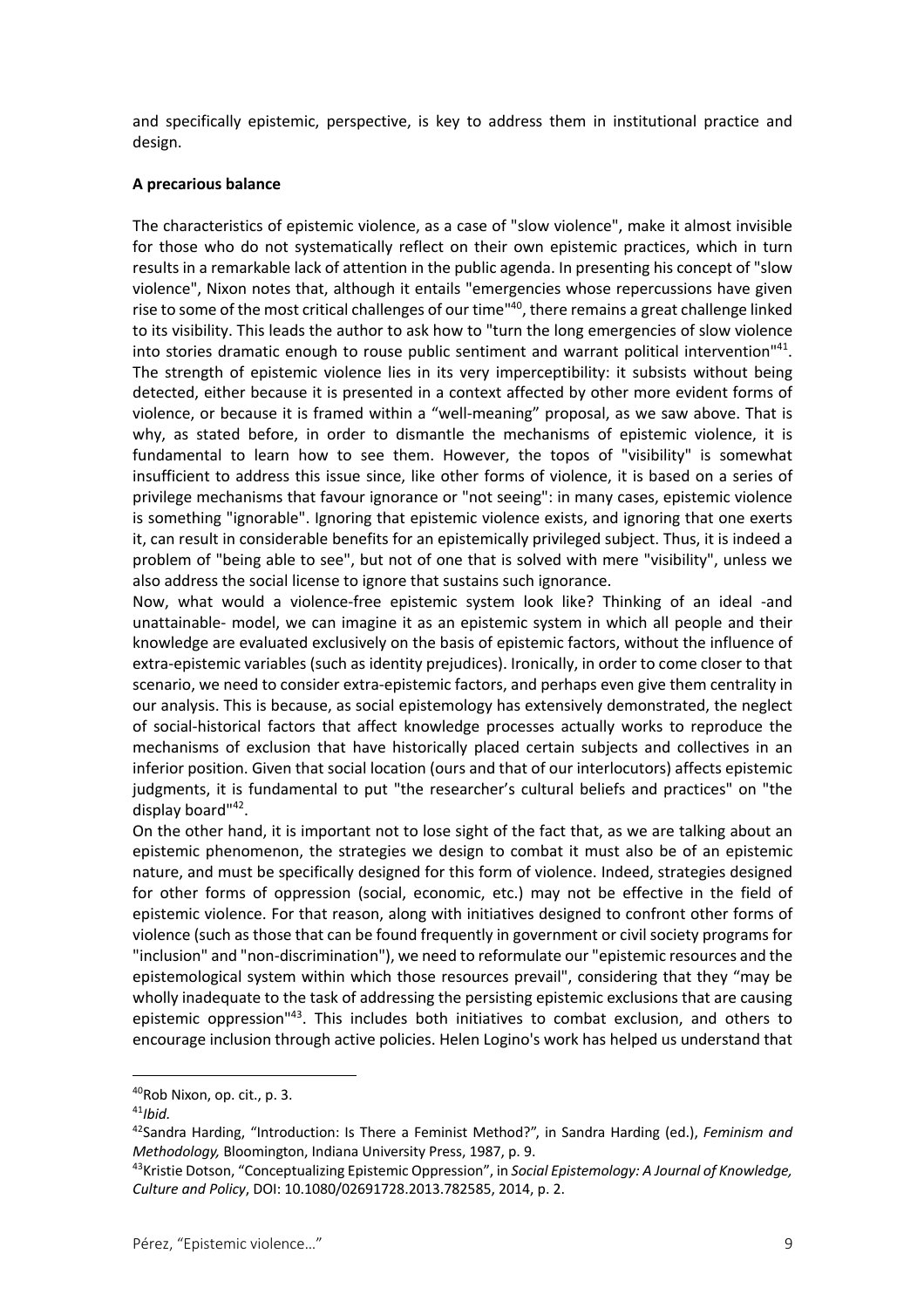and specifically epistemic, perspective, is key to address them in institutional practice and design.

#### **A precarious balance**

The characteristics of epistemic violence, as a case of "slow violence", make it almost invisible for those who do not systematically reflect on their own epistemic practices, which in turn results in a remarkable lack of attention in the public agenda. In presenting his concept of "slow violence", Nixon notes that, although it entails "emergencies whose repercussions have given rise to some of the most critical challenges of our time<sup>140</sup>, there remains a great challenge linked to its visibility. This leads the author to ask how to "turn the long emergencies of slow violence into stories dramatic enough to rouse public sentiment and warrant political intervention"<sup>41</sup>. The strength of epistemic violence lies in its very imperceptibility: it subsists without being detected, either because it is presented in a context affected by other more evident forms of violence, or because it is framed within a "well-meaning" proposal, as we saw above. That is why, as stated before, in order to dismantle the mechanisms of epistemic violence, it is fundamental to learn how to see them. However, the topos of "visibility" is somewhat insufficient to address this issue since, like other forms of violence, it is based on a series of privilege mechanisms that favour ignorance or "not seeing": in many cases, epistemic violence is something "ignorable". Ignoring that epistemic violence exists, and ignoring that one exerts it, can result in considerable benefits for an epistemically privileged subject. Thus, it is indeed a problem of "being able to see", but not of one that is solved with mere "visibility", unless we also address the social license to ignore that sustains such ignorance.

Now, what would a violence-free epistemic system look like? Thinking of an ideal -and unattainable- model, we can imagine it as an epistemic system in which all people and their knowledge are evaluated exclusively on the basis of epistemic factors, without the influence of extra-epistemic variables (such as identity prejudices). Ironically, in order to come closer to that scenario, we need to consider extra-epistemic factors, and perhaps even give them centrality in our analysis. This is because, as social epistemology has extensively demonstrated, the neglect of social-historical factors that affect knowledge processes actually works to reproduce the mechanisms of exclusion that have historically placed certain subjects and collectives in an inferior position. Given that social location (ours and that of our interlocutors) affects epistemic judgments, it is fundamental to put "the researcher's cultural beliefs and practices" on "the display board"<sup>42</sup>.

On the other hand, it is important not to lose sight of the fact that, as we are talking about an epistemic phenomenon, the strategies we design to combat it must also be of an epistemic nature, and must be specifically designed for this form of violence. Indeed, strategies designed for other forms of oppression (social, economic, etc.) may not be effective in the field of epistemic violence. For that reason, along with initiatives designed to confront other forms of violence (such as those that can be found frequently in government or civil society programs for "inclusion" and "non-discrimination"), we need to reformulate our "epistemic resources and the epistemological system within which those resources prevail", considering that they "may be wholly inadequate to the task of addressing the persisting epistemic exclusions that are causing epistemic oppression<sup>143</sup>. This includes both initiatives to combat exclusion, and others to encourage inclusion through active policies. Helen Logino's work has helped us understand that

<sup>40</sup>Rob Nixon, op. cit., p. 3.

<sup>41</sup>*Ibid.*

<sup>42</sup>Sandra Harding, "Introduction: Is There a Feminist Method?", in Sandra Harding (ed.), *Feminism and Methodology,* Bloomington, Indiana University Press, 1987, p. 9.

<sup>43</sup>Kristie Dotson, "Conceptualizing Epistemic Oppression", in *Social Epistemology: A Journal of Knowledge, Culture and Policy*, DOI: 10.1080/02691728.2013.782585, 2014, p. 2.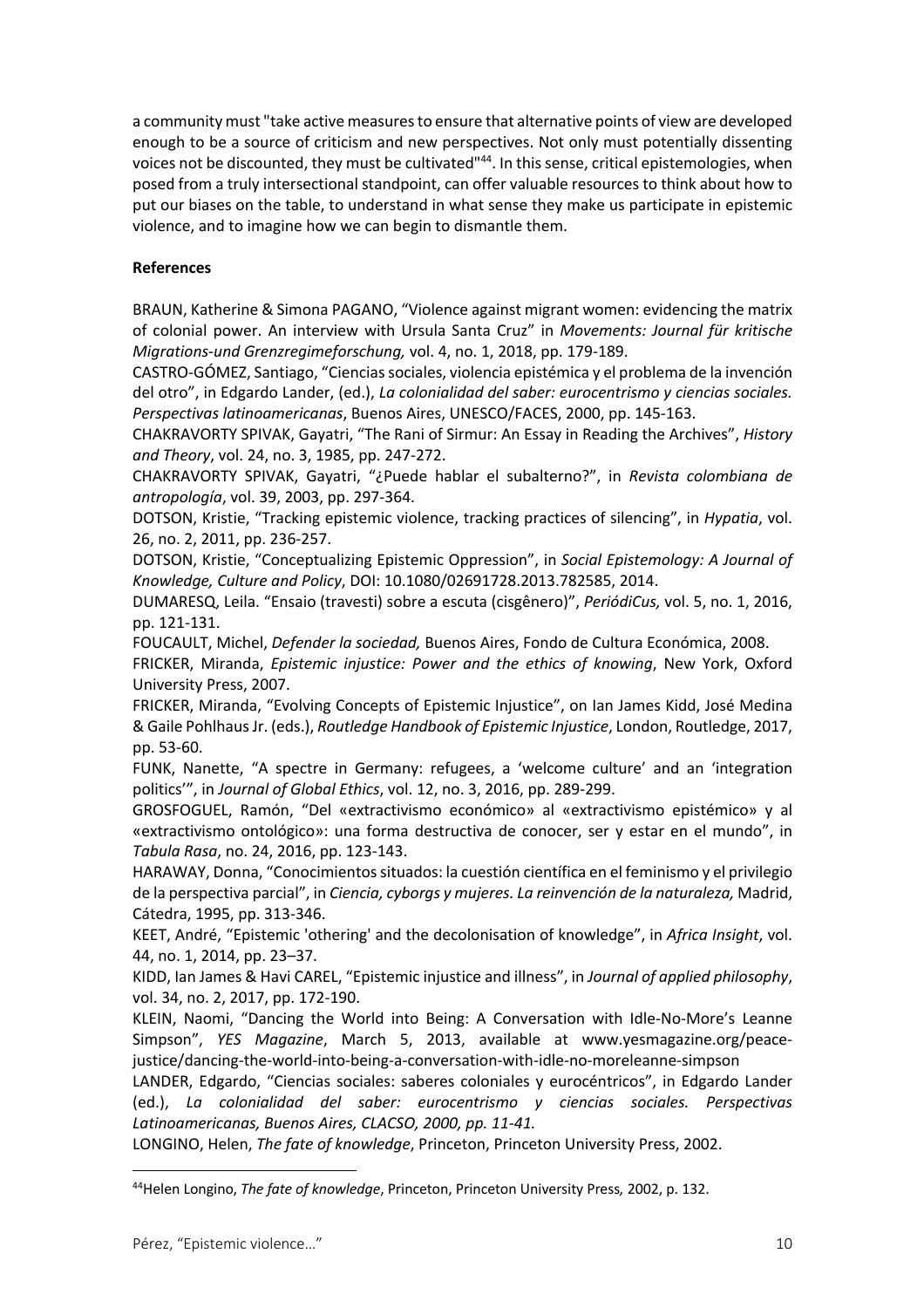a community must "take active measures to ensure that alternative points of view are developed enough to be a source of criticism and new perspectives. Not only must potentially dissenting voices not be discounted, they must be cultivated"<sup>44</sup>. In this sense, critical epistemologies, when posed from a truly intersectional standpoint, can offer valuable resources to think about how to put our biases on the table, to understand in what sense they make us participate in epistemic violence, and to imagine how we can begin to dismantle them.

### **References**

BRAUN, Katherine & Simona PAGANO, "Violence against migrant women: evidencing the matrix of colonial power. An interview with Ursula Santa Cruz" in *Movements: Journal für kritische Migrations-und Grenzregimeforschung,* vol. 4, no. 1, 2018, pp. 179-189.

CASTRO-GÓMEZ, Santiago, "Ciencias sociales, violencia epistémica y el problema de la invención del otro", in Edgardo Lander, (ed.), *La colonialidad del saber: eurocentrismo y ciencias sociales. Perspectivas latinoamericanas*, Buenos Aires, UNESCO/FACES, 2000, pp. 145-163.

CHAKRAVORTY SPIVAK, Gayatri, "The Rani of Sirmur: An Essay in Reading the Archives", *History and Theory*, vol. 24, no. 3, 1985, pp. 247-272.

CHAKRAVORTY SPIVAK, Gayatri, "¿Puede hablar el subalterno?", in *Revista colombiana de antropología*, vol. 39, 2003, pp. 297-364.

DOTSON, Kristie, "Tracking epistemic violence, tracking practices of silencing", in *Hypatia*, vol. 26, no. 2, 2011, pp. 236-257.

DOTSON, Kristie, "Conceptualizing Epistemic Oppression", in *Social Epistemology: A Journal of Knowledge, Culture and Policy*, DOI: 10.1080/02691728.2013.782585, 2014.

DUMARESQ, Leila. "Ensaio (travesti) sobre a escuta (cisgênero)", *PeriódiCus,* vol. 5, no. 1, 2016, pp. 121-131.

FOUCAULT, Michel, *Defender la sociedad,* Buenos Aires, Fondo de Cultura Económica, 2008.

FRICKER, Miranda, *Epistemic injustice: Power and the ethics of knowing*, New York, Oxford University Press, 2007.

FRICKER, Miranda, "Evolving Concepts of Epistemic Injustice", on Ian James Kidd, José Medina & Gaile Pohlhaus Jr. (eds.), *Routledge Handbook of Epistemic Injustice*, London, Routledge, 2017, pp. 53-60.

FUNK, Nanette, "A spectre in Germany: refugees, a 'welcome culture' and an 'integration politics'", in *Journal of Global Ethics*, vol. 12, no. 3, 2016, pp. 289-299.

GROSFOGUEL, Ramón, "Del «extractivismo económico» al «extractivismo epistémico» y al «extractivismo ontológico»: una forma destructiva de conocer, ser y estar en el mundo", in *Tabula Rasa*, no. 24, 2016, pp. 123-143.

HARAWAY, Donna, "Conocimientos situados: la cuestión científica en el feminismo y el privilegio de la perspectiva parcial", in *Ciencia, cyborgs y mujeres. La reinvención de la naturaleza,* Madrid, Cátedra, 1995, pp. 313-346.

KEET, André, "Epistemic 'othering' and the decolonisation of knowledge", in *Africa Insight*, vol. 44, no. 1, 2014, pp. 23–37.

KIDD, Ian James & Havi CAREL, "Epistemic injustice and illness", in *Journal of applied philosophy*, vol. 34, no. 2, 2017, pp. 172-190.

KLEIN, Naomi, "Dancing the World into Being: A Conversation with Idle-No-More's Leanne Simpson", *YES Magazine*, March 5, 2013, available at www.yesmagazine.org/peacejustice/dancing-the-world-into-being-a-conversation-with-idle-no-moreleanne-simpson

LANDER, Edgardo, "Ciencias sociales: saberes coloniales y eurocéntricos", in Edgardo Lander (ed.), *La colonialidad del saber: eurocentrismo y ciencias sociales. Perspectivas Latinoamericanas, Buenos Aires, CLACSO, 2000, pp. 11-41.*

LONGINO, Helen, *The fate of knowledge*, Princeton, Princeton University Press, 2002.

<sup>44</sup>Helen Longino, *The fate of knowledge*, Princeton, Princeton University Press*,* 2002, p. 132.